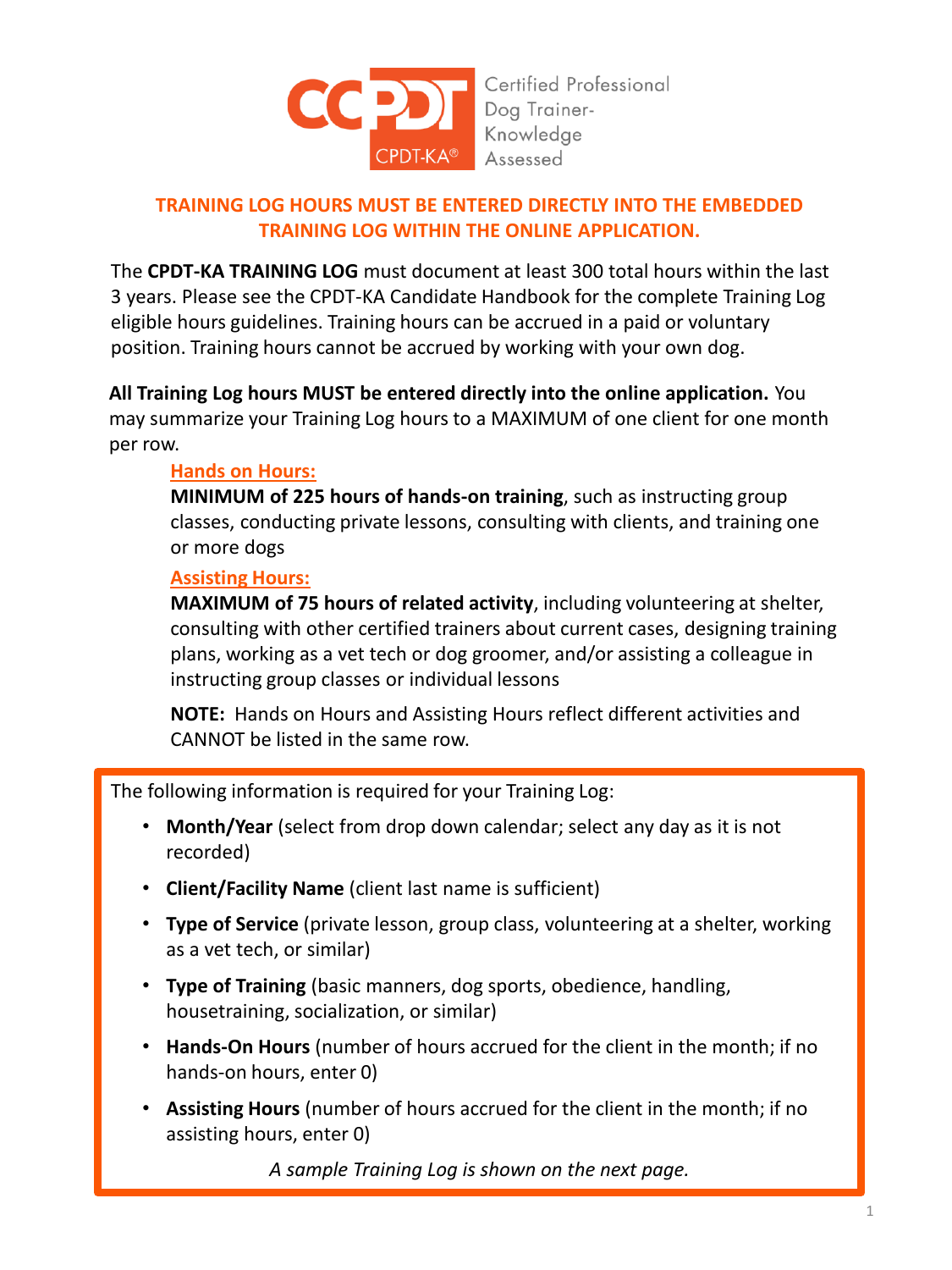

Certified Professional Dog Trainer-Knowledge Assessed

# **TRAINING LOG HOURS MUST BE ENTERED DIRECTLY INTO THE EMBEDDED TRAINING LOG WITHIN THE ONLINE APPLICATION.**

The **CPDT-KA TRAINING LOG** must document at least 300 total hours within the last 3 years. Please see the CPDT-KA Candidate Handbook for the complete Training Log eligible hours guidelines. Training hours can be accrued in a paid or voluntary position. Training hours cannot be accrued by working with your own dog.

**All Training Log hours MUST be entered directly into the online application.** You may summarize your Training Log hours to a MAXIMUM of one client for one month per row.

## **Hands on Hours:**

**MINIMUM of 225 hours of hands-on training**, such as instructing group classes, conducting private lessons, consulting with clients, and training one or more dogs

## **Assisting Hours:**

**MAXIMUM of 75 hours of related activity**, including volunteering at shelter, consulting with other certified trainers about current cases, designing training plans, working as a vet tech or dog groomer, and/or assisting a colleague in instructing group classes or individual lessons

**NOTE:** Hands on Hours and Assisting Hours reflect different activities and CANNOT be listed in the same row.

The following information is required for your Training Log:

- **Month/Year** (select from drop down calendar; select any day as it is not recorded)
- **Client/Facility Name** (client last name is sufficient)
- **Type of Service** (private lesson, group class, volunteering at a shelter, working as a vet tech, or similar)
- **Type of Training** (basic manners, dog sports, obedience, handling, housetraining, socialization, or similar)
- **Hands-On Hours** (number of hours accrued for the client in the month; if no hands-on hours, enter 0)
- **Assisting Hours** (number of hours accrued for the client in the month; if no assisting hours, enter 0)

*A sample Training Log is shown on the next page.*